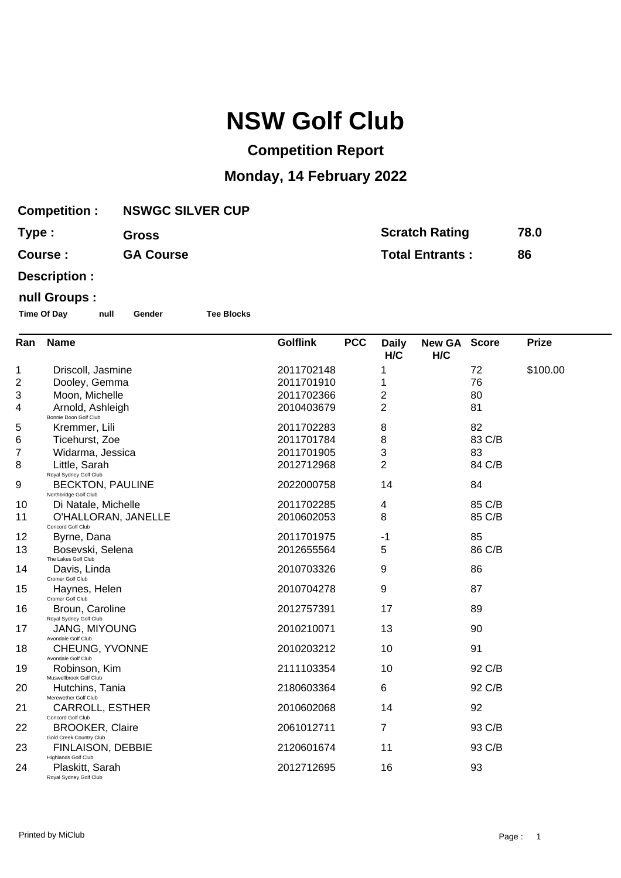# **NSW Golf Club**

## **Competition Report**

### **Monday, 14 February 2022**

| <b>Competition:</b> | <b>NSWGC SILVER CUP</b> |                        |      |
|---------------------|-------------------------|------------------------|------|
| Type:               | <b>Gross</b>            | <b>Scratch Rating</b>  | 78.0 |
| Course:             | <b>GA Course</b>        | <b>Total Entrants:</b> | 86   |

**Description :**

#### **null Groups :**

**Time Of Day null Gender Tee Blocks**

| Ran | <b>Name</b>                                       | <b>Golflink</b> | <b>PCC</b> | <b>Daily</b><br>H/C | New GA Score<br>H/C |        | <b>Prize</b> |
|-----|---------------------------------------------------|-----------------|------------|---------------------|---------------------|--------|--------------|
| 1   | Driscoll, Jasmine                                 | 2011702148      |            | 1                   |                     | 72     | \$100.00     |
| 2   | Dooley, Gemma                                     | 2011701910      |            | 1                   |                     | 76     |              |
| 3   | Moon, Michelle                                    | 2011702366      |            | 2                   |                     | 80     |              |
| 4   | Arnold, Ashleigh<br>Bonnie Doon Golf Club         | 2010403679      |            | $\overline{2}$      |                     | 81     |              |
| 5   | Kremmer, Lili                                     | 2011702283      |            | 8                   |                     | 82     |              |
| 6   | Ticehurst, Zoe                                    | 2011701784      |            | 8                   |                     | 83 C/B |              |
| 7   | Widarma, Jessica                                  | 2011701905      |            | 3                   |                     | 83     |              |
| 8   | Little, Sarah<br>Royal Sydney Golf Club           | 2012712968      |            | $\overline{2}$      |                     | 84 C/B |              |
| 9   | <b>BECKTON, PAULINE</b><br>Northbridge Golf Club  | 2022000758      |            | 14                  |                     | 84     |              |
| 10  | Di Natale, Michelle                               | 2011702285      |            | 4                   |                     | 85 C/B |              |
| 11  | O'HALLORAN, JANELLE<br>Concord Golf Club          | 2010602053      |            | 8                   |                     | 85 C/B |              |
| 12  | Byrne, Dana                                       | 2011701975      |            | -1                  |                     | 85     |              |
| 13  | Bosevski, Selena<br>The Lakes Golf Club           | 2012655564      |            | 5                   |                     | 86 C/B |              |
| 14  | Davis, Linda<br>Cromer Golf Club                  | 2010703326      |            | 9                   |                     | 86     |              |
| 15  | Haynes, Helen<br>Cromer Golf Club                 | 2010704278      |            | 9                   |                     | 87     |              |
| 16  | Broun, Caroline<br>Royal Sydney Golf Club         | 2012757391      |            | 17                  |                     | 89     |              |
| 17  | <b>JANG, MIYOUNG</b><br>Avondale Golf Club        | 2010210071      |            | 13                  |                     | 90     |              |
| 18  | CHEUNG, YVONNE<br>Avondale Golf Club              | 2010203212      |            | 10                  |                     | 91     |              |
| 19  | Robinson, Kim<br>Muswellbrook Golf Club           | 2111103354      |            | 10                  |                     | 92 C/B |              |
| 20  | Hutchins, Tania<br>Merewether Golf Club           | 2180603364      |            | 6                   |                     | 92 C/B |              |
| 21  | <b>CARROLL, ESTHER</b><br>Concord Golf Club       | 2010602068      |            | 14                  |                     | 92     |              |
| 22  | <b>BROOKER, Claire</b><br>Gold Creek Country Club | 2061012711      |            | 7                   |                     | 93 C/B |              |
| 23  | FINLAISON, DEBBIE<br>Highlands Golf Club          | 2120601674      |            | 11                  |                     | 93 C/B |              |
| 24  | Plaskitt, Sarah<br>Royal Sydney Golf Club         | 2012712695      |            | 16                  |                     | 93     |              |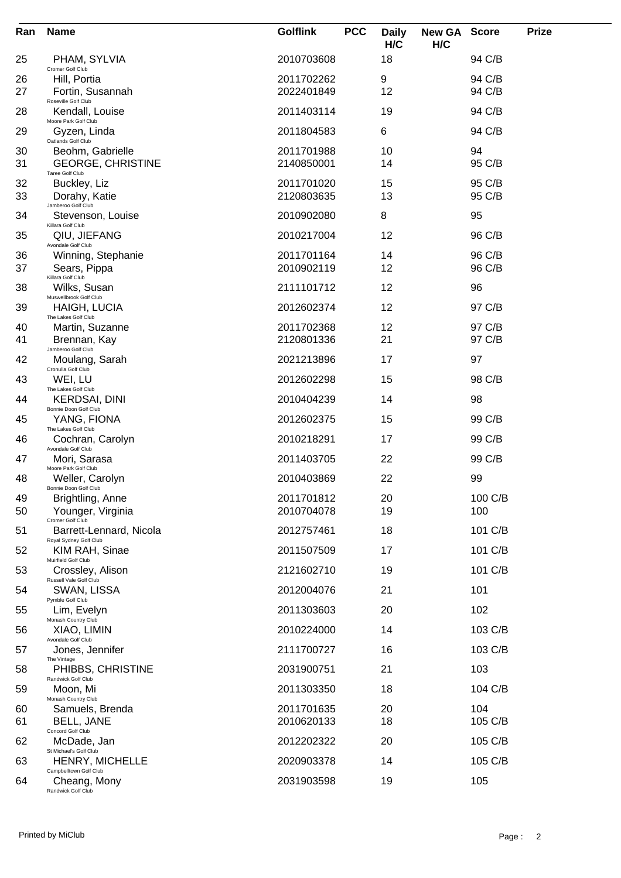| Ran      | <b>Name</b>                                             | <b>Golflink</b>          | <b>PCC</b> | <b>Daily</b><br>H/C | <b>New GA</b><br>H/C | <b>Score</b>     | <b>Prize</b> |
|----------|---------------------------------------------------------|--------------------------|------------|---------------------|----------------------|------------------|--------------|
| 25       | PHAM, SYLVIA<br>Cromer Golf Club                        | 2010703608               |            | 18                  |                      | 94 C/B           |              |
| 26<br>27 | Hill, Portia<br>Fortin, Susannah<br>Roseville Golf Club | 2011702262<br>2022401849 |            | 9<br>12             |                      | 94 C/B<br>94 C/B |              |
| 28       | Kendall, Louise<br>Moore Park Golf Club                 | 2011403114               |            | 19                  |                      | 94 C/B           |              |
| 29       | Gyzen, Linda                                            | 2011804583               |            | 6                   |                      | 94 C/B           |              |
| 30       | Oatlands Golf Club<br>Beohm, Gabrielle                  | 2011701988               |            | 10                  |                      | 94               |              |
| 31       | <b>GEORGE, CHRISTINE</b><br>Taree Golf Club             | 2140850001               |            | 14                  |                      | 95 C/B           |              |
| 32<br>33 | Buckley, Liz<br>Dorahy, Katie                           | 2011701020<br>2120803635 |            | 15<br>13            |                      | 95 C/B<br>95 C/B |              |
| 34       | Jamberoo Golf Club                                      | 2010902080               |            | 8                   |                      | 95               |              |
|          | Stevenson, Louise<br>Killara Golf Club                  | 2010217004               |            | 12                  |                      |                  |              |
| 35       | QIU, JIEFANG<br>Avondale Golf Club                      |                          |            |                     |                      | 96 C/B           |              |
| 36<br>37 | Winning, Stephanie<br>Sears, Pippa                      | 2011701164<br>2010902119 |            | 14<br>12            |                      | 96 C/B<br>96 C/B |              |
| 38       | Killara Golf Club<br>Wilks, Susan                       | 2111101712               |            | 12                  |                      | 96               |              |
| 39       | Muswellbrook Golf Club<br><b>HAIGH, LUCIA</b>           | 2012602374               |            | 12                  |                      | 97 C/B           |              |
| 40       | The Lakes Golf Club<br>Martin, Suzanne                  | 2011702368               |            | 12                  |                      | 97 C/B           |              |
| 41       | Brennan, Kay                                            | 2120801336               |            | 21                  |                      | 97 C/B           |              |
| 42       | Jamberoo Golf Club<br>Moulang, Sarah                    | 2021213896               |            | 17                  |                      | 97               |              |
| 43       | Cronulla Golf Club<br>WEI, LU                           | 2012602298               |            | 15                  |                      | 98 C/B           |              |
| 44       | The Lakes Golf Club<br>KERDSAI, DINI                    | 2010404239               |            | 14                  |                      | 98               |              |
| 45       | Bonnie Doon Golf Club<br>YANG, FIONA                    | 2012602375               |            | 15                  |                      | 99 C/B           |              |
| 46       | The Lakes Golf Club<br>Cochran, Carolyn                 | 2010218291               |            | 17                  |                      | 99 C/B           |              |
| 47       | Avondale Golf Club<br>Mori, Sarasa                      | 2011403705               |            | 22                  |                      | 99 C/B           |              |
| 48       | Moore Park Golf Club<br>Weller, Carolyn                 | 2010403869               |            | 22                  |                      | 99               |              |
| 49       | Bonnie Doon Golf Club<br>Brightling, Anne               | 2011701812               |            | 20                  |                      | 100 C/B          |              |
| 50       | Younger, Virginia<br>Cromer Golf Club                   | 2010704078               |            | 19                  |                      | 100              |              |
| 51       | Barrett-Lennard, Nicola<br>Royal Sydney Golf Club       | 2012757461               |            | 18                  |                      | 101 C/B          |              |
| 52       | KIM RAH, Sinae<br>Muirfield Golf Club                   | 2011507509               |            | 17                  |                      | 101 C/B          |              |
| 53       | Crossley, Alison<br>Russell Vale Golf Club              | 2121602710               |            | 19                  |                      | 101 C/B          |              |
| 54       | SWAN, LISSA<br>Pymble Golf Club                         | 2012004076               |            | 21                  |                      | 101              |              |
| 55       | Lim, Evelyn<br>Monash Country Club                      | 2011303603               |            | 20                  |                      | 102              |              |
| 56       | XIAO, LIMIN                                             | 2010224000               |            | 14                  |                      | 103 C/B          |              |
| 57       | Avondale Golf Club<br>Jones, Jennifer                   | 2111700727               |            | 16                  |                      | 103 C/B          |              |
| 58       | The Vintage<br>PHIBBS, CHRISTINE                        | 2031900751               |            | 21                  |                      | 103              |              |
| 59       | Randwick Golf Club<br>Moon, Mi                          | 2011303350               |            | 18                  |                      | 104 C/B          |              |
| 60       | Monash Country Club<br>Samuels, Brenda                  | 2011701635               |            | 20                  |                      | 104              |              |
| 61       | BELL, JANE<br>Concord Golf Club                         | 2010620133               |            | 18                  |                      | 105 C/B          |              |
| 62       | McDade, Jan<br>St Michael's Golf Club                   | 2012202322               |            | 20                  |                      | 105 C/B          |              |
| 63       | HENRY, MICHELLE<br>Campbelltown Golf Club               | 2020903378               |            | 14                  |                      | 105 C/B          |              |
| 64       | Cheang, Mony<br>Randwick Golf Club                      | 2031903598               |            | 19                  |                      | 105              |              |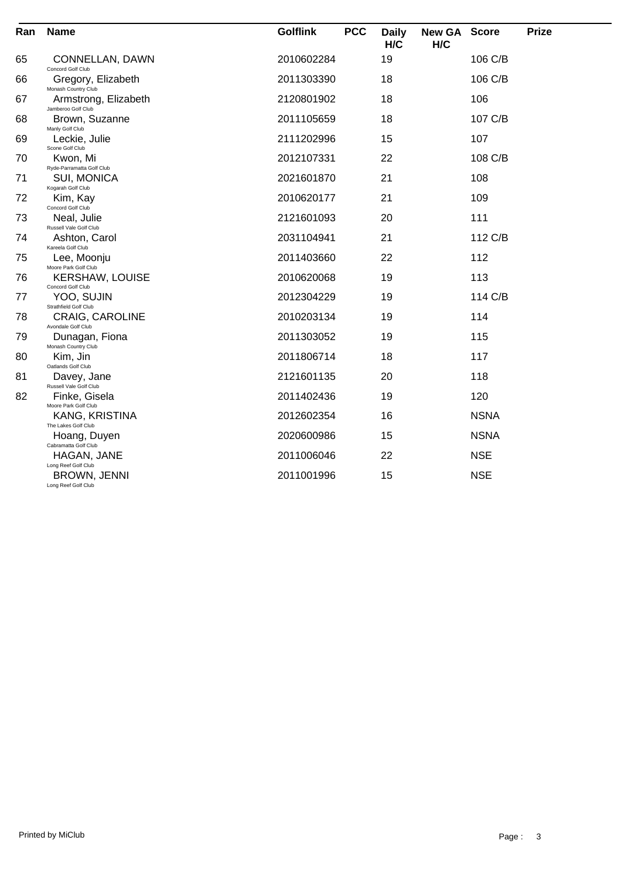| Ran | <b>Name</b>                                                       | <b>Golflink</b> | <b>PCC</b> | <b>Daily</b><br>H/C | <b>New GA</b><br>H/C | <b>Score</b> | <b>Prize</b> |
|-----|-------------------------------------------------------------------|-----------------|------------|---------------------|----------------------|--------------|--------------|
| 65  | CONNELLAN, DAWN<br>Concord Golf Club                              | 2010602284      |            | 19                  |                      | 106 C/B      |              |
| 66  | Gregory, Elizabeth                                                | 2011303390      |            | 18                  |                      | 106 C/B      |              |
| 67  | Monash Country Club<br>Armstrong, Elizabeth<br>Jamberoo Golf Club | 2120801902      |            | 18                  |                      | 106          |              |
| 68  | Brown, Suzanne<br>Manly Golf Club                                 | 2011105659      |            | 18                  |                      | 107 C/B      |              |
| 69  | Leckie, Julie<br>Scone Golf Club                                  | 2111202996      |            | 15                  |                      | 107          |              |
| 70  | Kwon, Mi<br>Ryde-Parramatta Golf Club                             | 2012107331      |            | 22                  |                      | 108 C/B      |              |
| 71  | SUI, MONICA<br>Kogarah Golf Club                                  | 2021601870      |            | 21                  |                      | 108          |              |
| 72  | Kim, Kay<br>Concord Golf Club                                     | 2010620177      |            | 21                  |                      | 109          |              |
| 73  | Neal, Julie<br>Russell Vale Golf Club                             | 2121601093      |            | 20                  |                      | 111          |              |
| 74  | Ashton, Carol                                                     | 2031104941      |            | 21                  |                      | 112 C/B      |              |
| 75  | Kareela Golf Club<br>Lee, Moonju                                  | 2011403660      |            | 22                  |                      | 112          |              |
| 76  | Moore Park Golf Club<br><b>KERSHAW, LOUISE</b>                    | 2010620068      |            | 19                  |                      | 113          |              |
| 77  | Concord Golf Club<br>YOO, SUJIN                                   | 2012304229      |            | 19                  |                      | 114 C/B      |              |
| 78  | Strathfield Golf Club<br><b>CRAIG, CAROLINE</b>                   | 2010203134      |            | 19                  |                      | 114          |              |
| 79  | Avondale Golf Club<br>Dunagan, Fiona                              | 2011303052      |            | 19                  |                      | 115          |              |
| 80  | Monash Country Club<br>Kim, Jin                                   | 2011806714      |            | 18                  |                      | 117          |              |
| 81  | Oatlands Golf Club<br>Davey, Jane                                 | 2121601135      |            | 20                  |                      | 118          |              |
| 82  | Russell Vale Golf Club<br>Finke, Gisela                           | 2011402436      |            | 19                  |                      | 120          |              |
|     | Moore Park Golf Club<br>KANG, KRISTINA                            | 2012602354      |            | 16                  |                      | <b>NSNA</b>  |              |
|     | The Lakes Golf Club<br>Hoang, Duyen                               | 2020600986      |            | 15                  |                      | <b>NSNA</b>  |              |
|     | Cabramatta Golf Club<br>HAGAN, JANE                               | 2011006046      |            | 22                  |                      | <b>NSE</b>   |              |
|     | Long Reef Golf Club<br>BROWN, JENNI<br>Long Reef Golf Club        | 2011001996      |            | 15                  |                      | <b>NSE</b>   |              |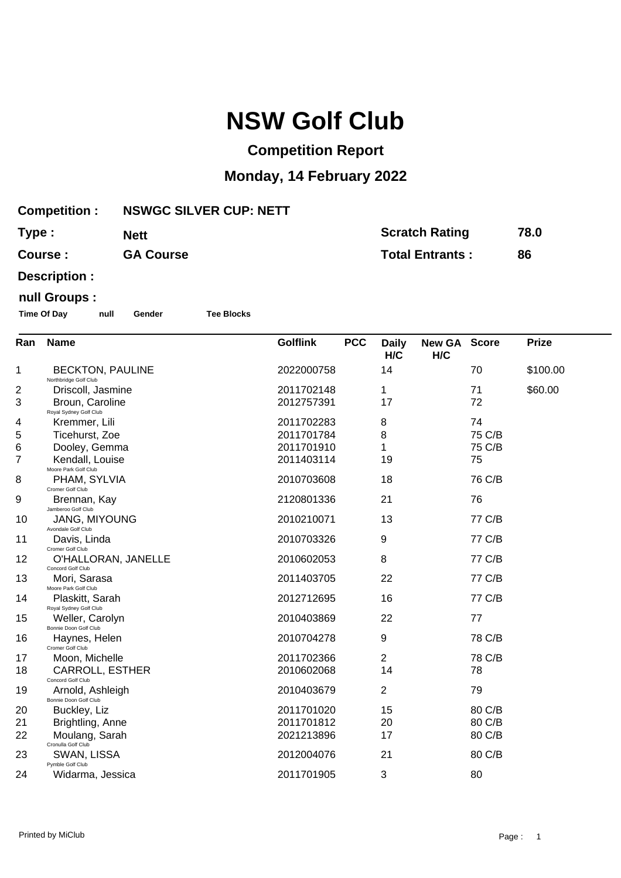# **NSW Golf Club**

### **Competition Report**

## **Monday, 14 February 2022**

|       | <b>Competition:</b>                              | <b>NSWGC SILVER CUP: NETT</b> |                               |                     |                        |                       |              |  |  |
|-------|--------------------------------------------------|-------------------------------|-------------------------------|---------------------|------------------------|-----------------------|--------------|--|--|
| Type: |                                                  | <b>Nett</b>                   |                               |                     |                        | <b>Scratch Rating</b> | 78.0         |  |  |
|       | <b>GA Course</b><br>Course:                      |                               |                               |                     | <b>Total Entrants:</b> |                       | 86           |  |  |
|       | Description :                                    |                               |                               |                     |                        |                       |              |  |  |
|       | null Groups :                                    |                               |                               |                     |                        |                       |              |  |  |
|       | <b>Time Of Day</b><br>null                       | <b>Tee Blocks</b><br>Gender   |                               |                     |                        |                       |              |  |  |
| Ran   | <b>Name</b>                                      |                               | <b>PCC</b><br><b>Golflink</b> | <b>Daily</b><br>H/C | New GA Score<br>H/C    |                       | <b>Prize</b> |  |  |
| 1     | <b>BECKTON, PAULINE</b><br>Northbridge Golf Club |                               | 2022000758                    | 14                  |                        | 70                    | \$100.00     |  |  |
| 2     | Driscoll, Jasmine                                |                               | 2011702148                    | 1                   |                        | 71                    | \$60.00      |  |  |
| 3     | Broun, Caroline                                  |                               | 2012757391                    | 17                  |                        | 72                    |              |  |  |
| 4     | Royal Sydney Golf Club<br>Kremmer, Lili          |                               | 2011702283                    | 8                   |                        | 74                    |              |  |  |
| 5     | Ticehurst, Zoe                                   |                               | 2011701784                    | 8                   |                        | 75 C/B                |              |  |  |
| 6     | Dooley, Gemma                                    |                               | 2011701910                    | 1                   |                        | 75 C/B                |              |  |  |
| 7     | Kendall, Louise<br>Moore Park Golf Club          |                               | 2011403114                    | 19                  |                        | 75                    |              |  |  |
| 8     | PHAM, SYLVIA<br>Cromer Golf Club                 |                               | 2010703608                    | 18                  |                        | 76 C/B                |              |  |  |
| 9     | Brennan, Kay<br>Jamberoo Golf Club               |                               | 2120801336                    | 21                  |                        | 76                    |              |  |  |
| 10    | <b>JANG, MIYOUNG</b><br>Avondale Golf Club       |                               | 2010210071                    | 13                  |                        | 77 C/B                |              |  |  |
| 11    | Davis, Linda<br>Cromer Golf Club                 |                               | 2010703326                    | 9                   |                        | 77 C/B                |              |  |  |
| 12    | O'HALLORAN, JANELLE<br>Concord Golf Club         |                               | 2010602053                    | 8                   |                        | 77 C/B                |              |  |  |
| 13    | Mori, Sarasa<br>Moore Park Golf Club             |                               | 2011403705                    | 22                  |                        | 77 C/B                |              |  |  |
| 14    | Plaskitt, Sarah<br>Royal Sydney Golf Club        |                               | 2012712695                    | 16                  |                        | 77 C/B                |              |  |  |
| 15    | Weller, Carolyn<br>Bonnie Doon Golf Club         |                               | 2010403869                    | 22                  |                        | 77                    |              |  |  |
| 16    | Haynes, Helen<br>Cromer Golf Club                |                               | 2010704278                    | 9                   |                        | 78 C/B                |              |  |  |
| 17    | Moon, Michelle                                   |                               | 2011702366                    | 2                   |                        | 78 C/B                |              |  |  |
| 18    | CARROLL, ESTHER<br>Concord Golf Club             |                               | 2010602068                    | 14                  |                        | 78                    |              |  |  |
| 19    | Arnold, Ashleigh<br>Bonnie Doon Golf Club        |                               | 2010403679                    | $\overline{2}$      |                        | 79                    |              |  |  |
| 20    | Buckley, Liz                                     |                               | 2011701020                    | 15                  |                        | 80 C/B                |              |  |  |
| 21    | Brightling, Anne                                 |                               | 2011701812                    | 20                  |                        | 80 C/B                |              |  |  |
| 22    | Moulang, Sarah<br>Cronulla Golf Club             |                               | 2021213896                    | 17                  |                        | 80 C/B                |              |  |  |
| 23    | SWAN, LISSA<br>Pymble Golf Club                  |                               | 2012004076                    | 21                  |                        | 80 C/B                |              |  |  |
| 24    | Widarma, Jessica                                 |                               | 2011701905                    | 3                   |                        | 80                    |              |  |  |
|       |                                                  |                               |                               |                     |                        |                       |              |  |  |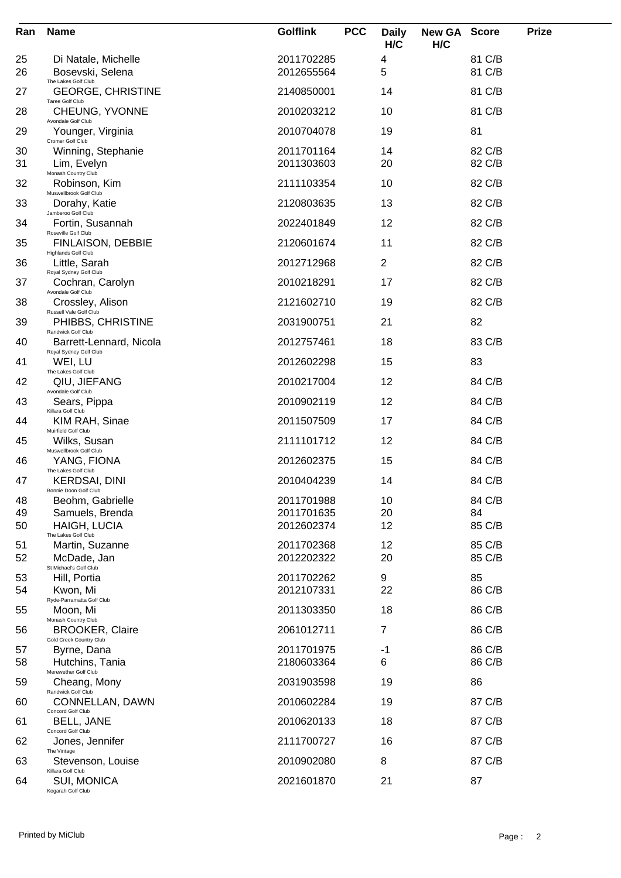| Ran      | <b>Name</b>                                           | <b>Golflink</b>          | <b>PCC</b> | <b>Daily</b><br>H/C | <b>New GA Score</b><br>H/C |                  | <b>Prize</b> |
|----------|-------------------------------------------------------|--------------------------|------------|---------------------|----------------------------|------------------|--------------|
| 25<br>26 | Di Natale, Michelle<br>Bosevski, Selena               | 2011702285<br>2012655564 |            | 4<br>5              |                            | 81 C/B<br>81 C/B |              |
| 27       | The Lakes Golf Club<br><b>GEORGE, CHRISTINE</b>       | 2140850001               |            | 14                  |                            | 81 C/B           |              |
| 28       | Taree Golf Club<br>CHEUNG, YVONNE                     | 2010203212               |            | 10                  |                            | 81 C/B           |              |
| 29       | Avondale Golf Club<br>Younger, Virginia               | 2010704078               |            | 19                  |                            | 81               |              |
| 30<br>31 | Cromer Golf Club<br>Winning, Stephanie<br>Lim, Evelyn | 2011701164<br>2011303603 |            | 14<br>20            |                            | 82 C/B<br>82 C/B |              |
| 32       | Monash Country Club<br>Robinson, Kim                  | 2111103354               |            | 10                  |                            | 82 C/B           |              |
| 33       | Muswellbrook Golf Club<br>Dorahy, Katie               | 2120803635               |            | 13                  |                            | 82 C/B           |              |
| 34       | Jamberoo Golf Club<br>Fortin, Susannah                | 2022401849               |            | 12                  |                            | 82 C/B           |              |
| 35       | Roseville Golf Club<br><b>FINLAISON, DEBBIE</b>       | 2120601674               |            | 11                  |                            | 82 C/B           |              |
| 36       | <b>Highlands Golf Club</b><br>Little, Sarah           | 2012712968               |            | $\overline{2}$      |                            | 82 C/B           |              |
| 37       | Royal Sydney Golf Club<br>Cochran, Carolyn            | 2010218291               |            | 17                  |                            | 82 C/B           |              |
| 38       | Avondale Golf Club<br>Crossley, Alison                | 2121602710               |            | 19                  |                            | 82 C/B           |              |
| 39       | Russell Vale Golf Club<br>PHIBBS, CHRISTINE           | 2031900751               |            | 21                  |                            | 82               |              |
| 40       | Randwick Golf Club<br>Barrett-Lennard, Nicola         | 2012757461               |            | 18                  |                            | 83 C/B           |              |
| 41       | Royal Sydney Golf Club<br>WEI, LU                     | 2012602298               |            | 15                  |                            | 83               |              |
| 42       | The Lakes Golf Club<br>QIU, JIEFANG                   | 2010217004               |            | 12                  |                            | 84 C/B           |              |
| 43       | Avondale Golf Club<br>Sears, Pippa                    | 2010902119               |            | 12                  |                            | 84 C/B           |              |
| 44       | Killara Golf Club<br>KIM RAH, Sinae                   | 2011507509               |            | 17                  |                            | 84 C/B           |              |
| 45       | Muirfield Golf Club<br>Wilks, Susan                   | 2111101712               |            | 12                  |                            | 84 C/B           |              |
| 46       | Muswellbrook Golf Club<br>YANG, FIONA                 | 2012602375               |            | 15                  |                            | 84 C/B           |              |
| 47       | The Lakes Golf Club<br><b>KERDSAI, DINI</b>           | 2010404239               |            | 14                  |                            | 84 C/B           |              |
| 48       | Bonnie Doon Golf Club<br>Beohm, Gabrielle             | 2011701988               |            | 10                  |                            | 84 C/B           |              |
| 49<br>50 | Samuels, Brenda<br><b>HAIGH, LUCIA</b>                | 2011701635<br>2012602374 |            | 20<br>12            |                            | 84<br>85 C/B     |              |
| 51       | The Lakes Golf Club<br>Martin, Suzanne                | 2011702368               |            | 12                  |                            | 85 C/B           |              |
| 52       | McDade, Jan<br>St Michael's Golf Club                 | 2012202322               |            | 20                  |                            | 85 C/B           |              |
| 53       | Hill, Portia                                          | 2011702262               |            | 9                   |                            | 85               |              |
| 54       | Kwon, Mi<br>Ryde-Parramatta Golf Club                 | 2012107331               |            | 22                  |                            | 86 C/B           |              |
| 55       | Moon, Mi<br>Monash Country Club                       | 2011303350               |            | 18                  |                            | 86 C/B           |              |
| 56       | <b>BROOKER, Claire</b><br>Gold Creek Country Club     | 2061012711               |            | 7                   |                            | 86 C/B           |              |
| 57<br>58 | Byrne, Dana<br>Hutchins, Tania                        | 2011701975<br>2180603364 |            | -1<br>6             |                            | 86 C/B<br>86 C/B |              |
| 59       | Merewether Golf Club<br>Cheang, Mony                  | 2031903598               |            | 19                  |                            | 86               |              |
| 60       | Randwick Golf Club<br>CONNELLAN, DAWN                 | 2010602284               |            | 19                  |                            | 87 C/B           |              |
| 61       | Concord Golf Club<br>BELL, JANE                       | 2010620133               |            | 18                  |                            | 87 C/B           |              |
| 62       | Concord Golf Club<br>Jones, Jennifer                  | 2111700727               |            | 16                  |                            | 87 C/B           |              |
| 63       | The Vintage<br>Stevenson, Louise                      | 2010902080               |            | 8                   |                            | 87 C/B           |              |
| 64       | Killara Golf Club<br>SUI, MONICA<br>Kogarah Golf Club | 2021601870               |            | 21                  |                            | 87               |              |